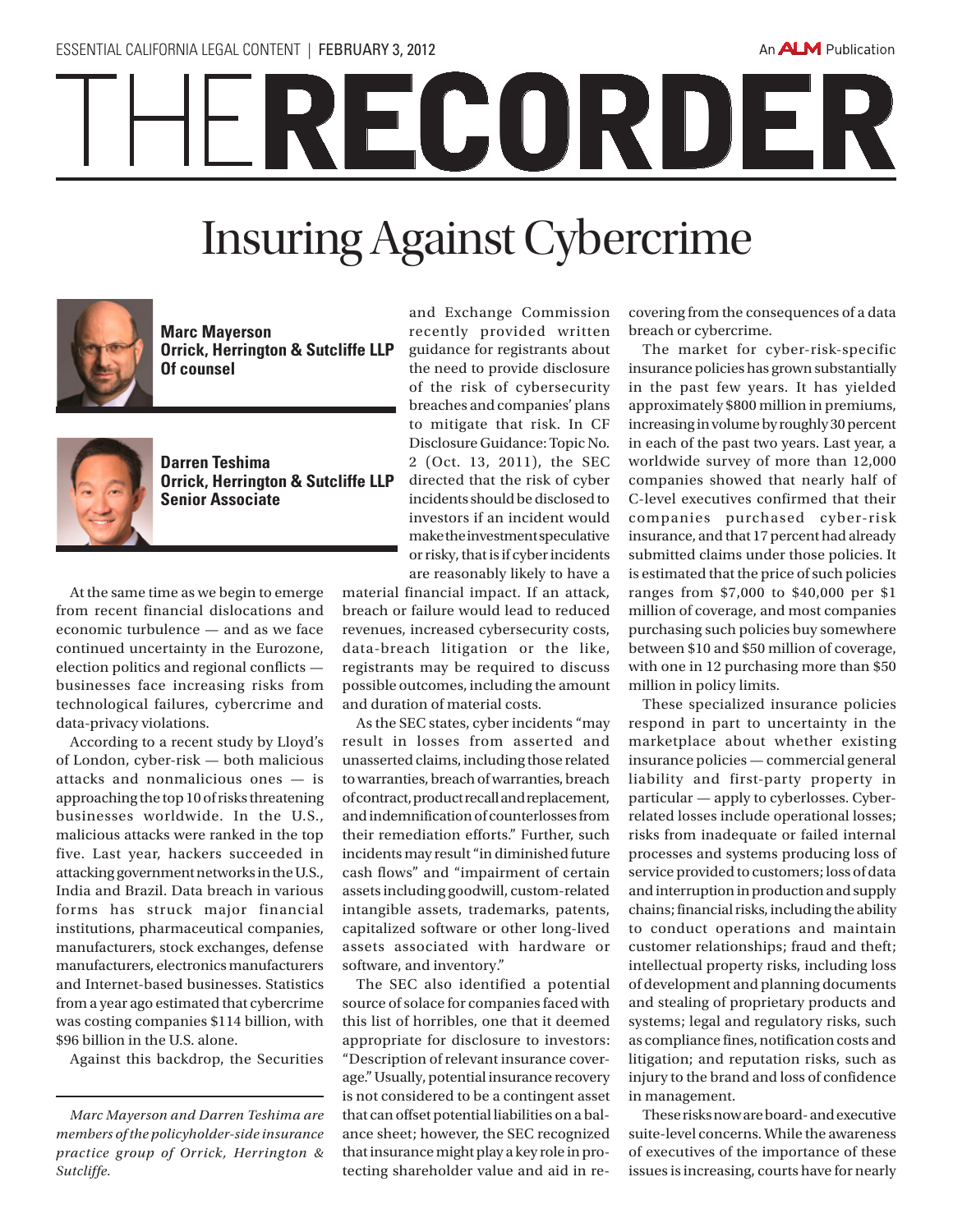## RECORDER

## Insuring Against Cybercrime



**Marc Mayerson Orrick, Herrington & Sutcliffe LLP Of counsel** 



**Darren Teshima Orrick, Herrington & Sutcliffe LLP Senior Associate**

At the same time as we begin to emerge from recent financial dislocations and economic turbulence — and as we face continued uncertainty in the Eurozone, election politics and regional conflicts businesses face increasing risks from technological failures, cybercrime and data-privacy violations.

According to a recent study by Lloyd's of London, cyber-risk — both malicious attacks and nonmalicious ones — is approaching the top 10 of risks threatening businesses worldwide. In the U.S., malicious attacks were ranked in the top five. Last year, hackers succeeded in attacking government networks in the U.S., India and Brazil. Data breach in various forms has struck major financial institutions, pharmaceutical companies, manufacturers, stock exchanges, defense manufacturers, electronics manufacturers and Internet-based businesses. Statistics from a year ago estimated that cybercrime was costing companies \$114 billion, with \$96 billion in the U.S. alone.

Against this backdrop, the Securities

and Exchange Commission recently provided written guidance for registrants about the need to provide disclosure of the risk of cybersecurity breaches and companies' plans to mitigate that risk. In CF Disclosure Guidance: Topic No. 2 (Oct. 13, 2011), the SEC directed that the risk of cyber incidents should be disclosed to investors if an incident would make the investment speculative or risky, that is if cyber incidents are reasonably likely to have a

material financial impact. If an attack, breach or failure would lead to reduced revenues, increased cybersecurity costs, data-breach litigation or the like, registrants may be required to discuss possible outcomes, including the amount and duration of material costs.

As the SEC states, cyber incidents "may result in losses from asserted and unasserted claims, including those related to warranties, breach of warranties, breach of contract, product recall and replacement, and indemnification of counterlosses from their remediation efforts." Further, such incidents may result "in diminished future cash flows" and "impairment of certain assets including goodwill, custom-related intangible assets, trademarks, patents, capitalized software or other long-lived assets associated with hardware or software, and inventory."

The SEC also identified a potential source of solace for companies faced with this list of horribles, one that it deemed appropriate for disclosure to investors: "Description of relevant insurance coverage." Usually, potential insurance recovery is not considered to be a contingent asset that can offset potential liabilities on a balance sheet; however, the SEC recognized that insurance might play a key role in protecting shareholder value and aid in recovering from the consequences of a data breach or cybercrime.

The market for cyber-risk-specific insurance policies has grown substantially in the past few years. It has yielded approximately \$800 million in premiums, increasing in volume by roughly 30 percent in each of the past two years. Last year, a worldwide survey of more than 12,000 companies showed that nearly half of C-level executives confirmed that their companies purchased cyber-risk insurance, and that 17 percent had already submitted claims under those policies. It is estimated that the price of such policies ranges from \$7,000 to \$40,000 per \$1 million of coverage, and most companies purchasing such policies buy somewhere between \$10 and \$50 million of coverage, with one in 12 purchasing more than \$50 million in policy limits.

These specialized insurance policies respond in part to uncertainty in the marketplace about whether existing insurance policies — commercial general liability and first-party property in particular — apply to cyberlosses. Cyberrelated losses include operational losses; risks from inadequate or failed internal processes and systems producing loss of service provided to customers; loss of data and interruption in production and supply chains; financial risks, including the ability to conduct operations and maintain customer relationships; fraud and theft; intellectual property risks, including loss of development and planning documents and stealing of proprietary products and systems; legal and regulatory risks, such as compliance fines, notification costs and litigation; and reputation risks, such as injury to the brand and loss of confidence in management.

These risks now are board- and executive suite-level concerns. While the awareness of executives of the importance of these issues is increasing, courts have for nearly

*Marc Mayerson and Darren Teshima are members of the policyholder-side insurance practice group of Orrick, Herrington & Sutcliffe.*